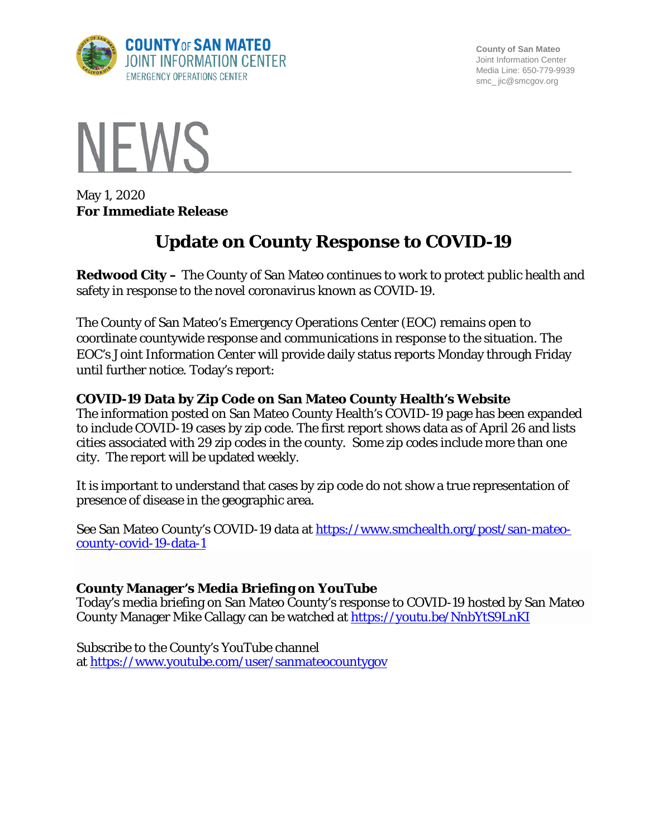

**County of San Mateo** Joint Information Center Media Line: 650-779-9939 smc\_ jic@smcgov.org



May 1, 2020 **For Immediate Release**

# **Update on County Response to COVID-19**

**Redwood City –** The County of San Mateo continues to work to protect public health and safety in response to the novel coronavirus known as COVID-19.

The County of San Mateo's Emergency Operations Center (EOC) remains open to coordinate countywide response and communications in response to the situation. The EOC's Joint Information Center will provide daily status reports Monday through Friday until further notice. Today's report:

## **COVID-19 Data by Zip Code on San Mateo County Health's Website**

The information posted on San Mateo County Health's COVID-19 page has been expanded to include COVID-19 cases by zip code. The first report shows data as of April 26 and lists cities associated with 29 zip codes in the county. Some zip codes include more than one city. The report will be updated weekly.

It is important to understand that cases by zip code do not show a true representation of presence of disease in the geographic area.

See San Mateo County's COVID-19 data at [https://www.smchealth.org/post/san-mateo](https://www.smchealth.org/post/san-mateo-county-covid-19-data-1)[county-covid-19-data-1](https://www.smchealth.org/post/san-mateo-county-covid-19-data-1)

### **County Manager's Media Briefing on YouTube**

Today's media briefing on San Mateo County's response to COVID-19 hosted by San Mateo County Manager Mike Callagy can be watched at<https://youtu.be/NnbYtS9LnKI>

Subscribe to the County's YouTube channel at <https://www.youtube.com/user/sanmateocountygov>